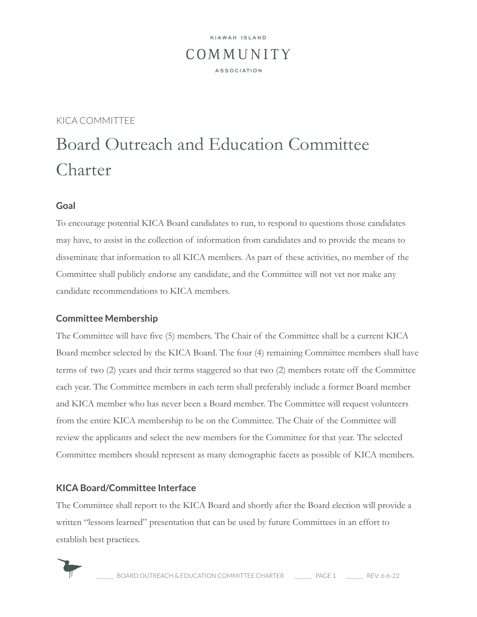## KIAWAH ISLAND COMMUNITY **ASSOCIATION**

### KICA COMMITTEE

# Board Outreach and Education Committee Charter

#### **Goal**

To encourage potential KICA Board candidates to run, to respond to questions those candidates may have, to assist in the collection of information from candidates and to provide the means to disseminate that information to all KICA members. As part of these activities, no member of the Committee shall publicly endorse any candidate, and the Committee will not vet nor make any candidate recommendations to KICA members.

#### **Committee Membership**

The Committee will have five (5) members. The Chair of the Committee shall be a current KICA Board member selected by the KICA Board. The four (4) remaining Committee members shall have terms of two (2) years and their terms staggered so that two (2) members rotate off the Committee each year. The Committee members in each term shall preferably include a former Board member and KICA member who has never been a Board member. The Committee will request volunteers from the entire KICA membership to be on the Committee. The Chair of the Committee will review the applicants and select the new members for the Committee for that year. The selected Committee members should represent as many demographic facets as possible of KICA members.

#### **KICA Board/Committee Interface**

The Committee shall report to the KICA Board and shortly after the Board election will provide a written "lessons learned" presentation that can be used by future Committees in an effort to establish best practices.